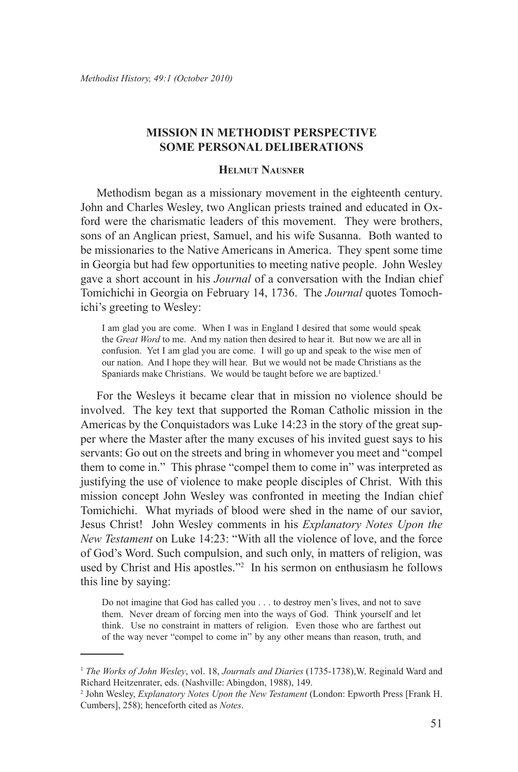## **Mission in Methodist Perspective Some Personal Deliberations**

## **Helmut Nausner**

Methodism began as a missionary movement in the eighteenth century. John and Charles Wesley, two Anglican priests trained and educated in Oxford were the charismatic leaders of this movement. They were brothers, sons of an Anglican priest, Samuel, and his wife Susanna. Both wanted to be missionaries to the Native Americans in America. They spent some time in Georgia but had few opportunities to meeting native people. John Wesley gave a short account in his *Journal* of a conversation with the Indian chief Tomichichi in Georgia on February 14, 1736. The *Journal* quotes Tomochichi's greeting to Wesley:

I am glad you are come. When I was in England I desired that some would speak the *Great Word* to me. And my nation then desired to hear it. But now we are all in confusion. Yet I am glad you are come. I will go up and speak to the wise men of our nation. And I hope they will hear. But we would not be made Christians as the Spaniards make Christians. We would be taught before we are baptized.<sup>1</sup>

For the Wesleys it became clear that in mission no violence should be involved. The key text that supported the Roman Catholic mission in the Americas by the Conquistadors was Luke 14:23 in the story of the great supper where the Master after the many excuses of his invited guest says to his servants: Go out on the streets and bring in whomever you meet and "compel them to come in." This phrase "compel them to come in" was interpreted as justifying the use of violence to make people disciples of Christ. With this mission concept John Wesley was confronted in meeting the Indian chief Tomichichi. What myriads of blood were shed in the name of our savior, Jesus Christ! John Wesley comments in his *Explanatory Notes Upon the New Testament* on Luke 14:23: "With all the violence of love, and the force of God's Word. Such compulsion, and such only, in matters of religion, was used by Christ and His apostles."2 In his sermon on enthusiasm he follows this line by saying:

Do not imagine that God has called you . . . to destroy men's lives, and not to save them. Never dream of forcing men into the ways of God. Think yourself and let think. Use no constraint in matters of religion. Even those who are farthest out of the way never "compel to come in" by any other means than reason, truth, and

<sup>1</sup> *The Works of John Wesley*, vol. 18, *Journals and Diaries* (1735-1738),W. Reginald Ward and Richard Heitzenrater, eds. (Nashville: Abingdon, 1988), 149.

<sup>2</sup> John Wesley, *Explanatory Notes Upon the New Testament* (London: Epworth Press [Frank H. Cumbers], 258); henceforth cited as *Notes*.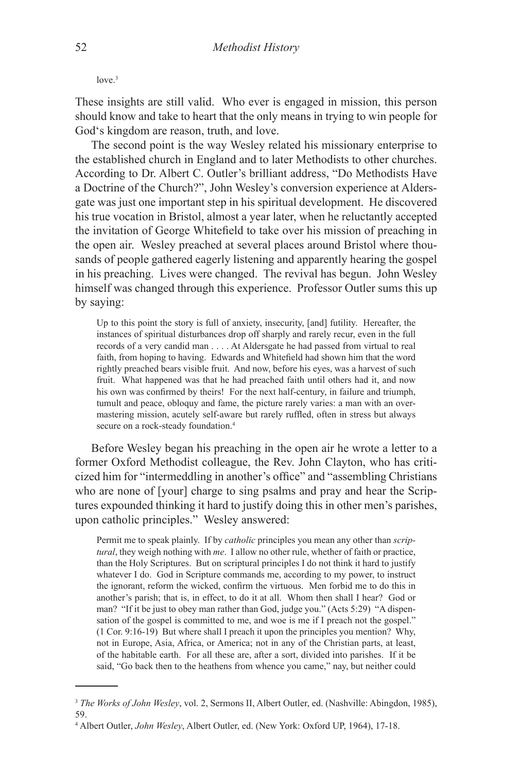$love<sup>3</sup>$ 

These insights are still valid. Who ever is engaged in mission, this person should know and take to heart that the only means in trying to win people for God's kingdom are reason, truth, and love.

The second point is the way Wesley related his missionary enterprise to the established church in England and to later Methodists to other churches. According to Dr. Albert C. Outler's brilliant address, "Do Methodists Have a Doctrine of the Church?", John Wesley's conversion experience at Aldersgate was just one important step in his spiritual development. He discovered his true vocation in Bristol, almost a year later, when he reluctantly accepted the invitation of George Whitefield to take over his mission of preaching in the open air. Wesley preached at several places around Bristol where thousands of people gathered eagerly listening and apparently hearing the gospel in his preaching. Lives were changed. The revival has begun. John Wesley himself was changed through this experience. Professor Outler sums this up by saying:

Up to this point the story is full of anxiety, insecurity, [and] futility. Hereafter, the instances of spiritual disturbances drop off sharply and rarely recur, even in the full records of a very candid man . . . . At Aldersgate he had passed from virtual to real faith, from hoping to having. Edwards and Whitefield had shown him that the word rightly preached bears visible fruit. And now, before his eyes, was a harvest of such fruit. What happened was that he had preached faith until others had it, and now his own was confirmed by theirs! For the next half-century, in failure and triumph, tumult and peace, obloquy and fame, the picture rarely varies: a man with an overmastering mission, acutely self-aware but rarely ruffled, often in stress but always secure on a rock-steady foundation.<sup>4</sup>

Before Wesley began his preaching in the open air he wrote a letter to a former Oxford Methodist colleague, the Rev. John Clayton, who has criticized him for "intermeddling in another's office" and "assembling Christians who are none of [your] charge to sing psalms and pray and hear the Scriptures expounded thinking it hard to justify doing this in other men's parishes, upon catholic principles." Wesley answered:

Permit me to speak plainly. If by *catholic* principles you mean any other than *scriptural*, they weigh nothing with *me*. I allow no other rule, whether of faith or practice, than the Holy Scriptures. But on scriptural principles I do not think it hard to justify whatever I do. God in Scripture commands me, according to my power, to instruct the ignorant, reform the wicked, confirm the virtuous. Men forbid me to do this in another's parish; that is, in effect, to do it at all. Whom then shall I hear? God or man? "If it be just to obey man rather than God, judge you." (Acts 5:29) "A dispensation of the gospel is committed to me, and woe is me if I preach not the gospel." (1 Cor. 9:16-19) But where shall I preach it upon the principles you mention? Why, not in Europe, Asia, Africa, or America; not in any of the Christian parts, at least, of the habitable earth. For all these are, after a sort, divided into parishes. If it be said, "Go back then to the heathens from whence you came," nay, but neither could

<sup>&</sup>lt;sup>3</sup> The Works of John Wesley, vol. 2, Sermons II, Albert Outler, ed. (Nashville: Abingdon, 1985), 59.

<sup>4</sup> Albert Outler, *John Wesley*, Albert Outler, ed. (New York: Oxford UP, 1964), 17-18.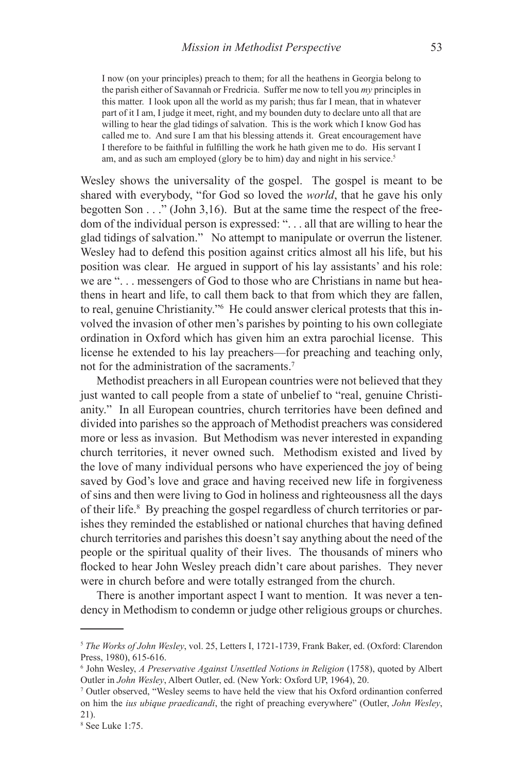I now (on your principles) preach to them; for all the heathens in Georgia belong to the parish either of Savannah or Fredricia. Suffer me now to tell you *my* principles in this matter. I look upon all the world as my parish; thus far I mean, that in whatever part of it I am, I judge it meet, right, and my bounden duty to declare unto all that are willing to hear the glad tidings of salvation. This is the work which I know God has called me to. And sure I am that his blessing attends it. Great encouragement have I therefore to be faithful in fulfilling the work he hath given me to do. His servant I am, and as such am employed (glory be to him) day and night in his service.<sup>5</sup>

Wesley shows the universality of the gospel. The gospel is meant to be shared with everybody, "for God so loved the *world*, that he gave his only begotten Son . . ." (John 3,16). But at the same time the respect of the freedom of the individual person is expressed: ". . . all that are willing to hear the glad tidings of salvation." No attempt to manipulate or overrun the listener. Wesley had to defend this position against critics almost all his life, but his position was clear. He argued in support of his lay assistants' and his role: we are ". . . messengers of God to those who are Christians in name but heathens in heart and life, to call them back to that from which they are fallen, to real, genuine Christianity."6 He could answer clerical protests that this involved the invasion of other men's parishes by pointing to his own collegiate ordination in Oxford which has given him an extra parochial license. This license he extended to his lay preachers—for preaching and teaching only, not for the administration of the sacraments.<sup>7</sup>

Methodist preachers in all European countries were not believed that they just wanted to call people from a state of unbelief to "real, genuine Christianity." In all European countries, church territories have been defined and divided into parishes so the approach of Methodist preachers was considered more or less as invasion. But Methodism was never interested in expanding church territories, it never owned such. Methodism existed and lived by the love of many individual persons who have experienced the joy of being saved by God's love and grace and having received new life in forgiveness of sins and then were living to God in holiness and righteousness all the days of their life.<sup>8</sup> By preaching the gospel regardless of church territories or parishes they reminded the established or national churches that having defined church territories and parishes this doesn't say anything about the need of the people or the spiritual quality of their lives. The thousands of miners who flocked to hear John Wesley preach didn't care about parishes. They never were in church before and were totally estranged from the church.

There is another important aspect I want to mention. It was never a tendency in Methodism to condemn or judge other religious groups or churches.

<sup>5</sup> *The Works of John Wesley*, vol. 25, Letters I, 1721-1739, Frank Baker, ed. (Oxford: Clarendon Press, 1980), 615-616.

<sup>6</sup> John Wesley, *A Preservative Against Unsettled Notions in Religion* (1758), quoted by Albert Outler in *John Wesley*, Albert Outler, ed. (New York: Oxford UP, 1964), 20.

<sup>7</sup> Outler observed, "Wesley seems to have held the view that his Oxford ordinantion conferred on him the *ius ubique praedicandi*, the right of preaching everywhere" (Outler, *John Wesley*, 21).

<sup>8</sup> See Luke 1:75.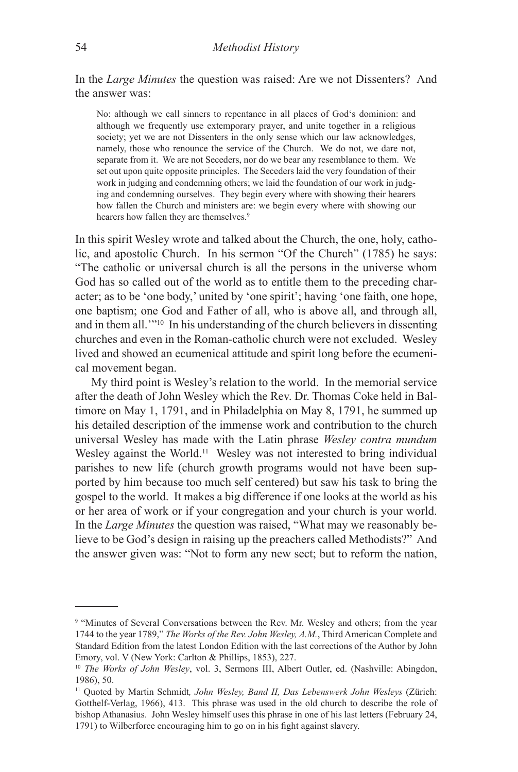In the *Large Minutes* the question was raised: Are we not Dissenters? And the answer was:

No: although we call sinners to repentance in all places of God's dominion: and although we frequently use extemporary prayer, and unite together in a religious society; yet we are not Dissenters in the only sense which our law acknowledges, namely, those who renounce the service of the Church. We do not, we dare not, separate from it. We are not Seceders, nor do we bear any resemblance to them. We set out upon quite opposite principles. The Seceders laid the very foundation of their work in judging and condemning others; we laid the foundation of our work in judging and condemning ourselves. They begin every where with showing their hearers how fallen the Church and ministers are: we begin every where with showing our hearers how fallen they are themselves.<sup>9</sup>

In this spirit Wesley wrote and talked about the Church, the one, holy, catholic, and apostolic Church. In his sermon "Of the Church" (1785) he says: "The catholic or universal church is all the persons in the universe whom God has so called out of the world as to entitle them to the preceding character; as to be 'one body,' united by 'one spirit'; having 'one faith, one hope, one baptism; one God and Father of all, who is above all, and through all, and in them all.'"10 In his understanding of the church believers in dissenting churches and even in the Roman-catholic church were not excluded. Wesley lived and showed an ecumenical attitude and spirit long before the ecumenical movement began.

My third point is Wesley's relation to the world. In the memorial service after the death of John Wesley which the Rev. Dr. Thomas Coke held in Baltimore on May 1, 1791, and in Philadelphia on May 8, 1791, he summed up his detailed description of the immense work and contribution to the church universal Wesley has made with the Latin phrase *Wesley contra mundum* Wesley against the World.<sup>11</sup> Wesley was not interested to bring individual parishes to new life (church growth programs would not have been supported by him because too much self centered) but saw his task to bring the gospel to the world. It makes a big difference if one looks at the world as his or her area of work or if your congregation and your church is your world. In the *Large Minutes* the question was raised, "What may we reasonably believe to be God's design in raising up the preachers called Methodists?" And the answer given was: "Not to form any new sect; but to reform the nation,

<sup>&</sup>lt;sup>9</sup> "Minutes of Several Conversations between the Rev. Mr. Wesley and others; from the year 1744 to the year 1789," *The Works of the Rev. John Wesley, A.M.*, Third American Complete and Standard Edition from the latest London Edition with the last corrections of the Author by John Emory, vol. V (New York: Carlton & Phillips, 1853), 227.

<sup>10</sup> *The Works of John Wesley*, vol. 3, Sermons III, Albert Outler, ed. (Nashville: Abingdon, 1986), 50.

<sup>11</sup> Quoted by Martin Schmidt*, John Wesley, Band II, Das Lebenswerk John Wesleys* (Zürich: Gotthelf-Verlag, 1966), 413. This phrase was used in the old church to describe the role of bishop Athanasius. John Wesley himself uses this phrase in one of his last letters (February 24, 1791) to Wilberforce encouraging him to go on in his fight against slavery.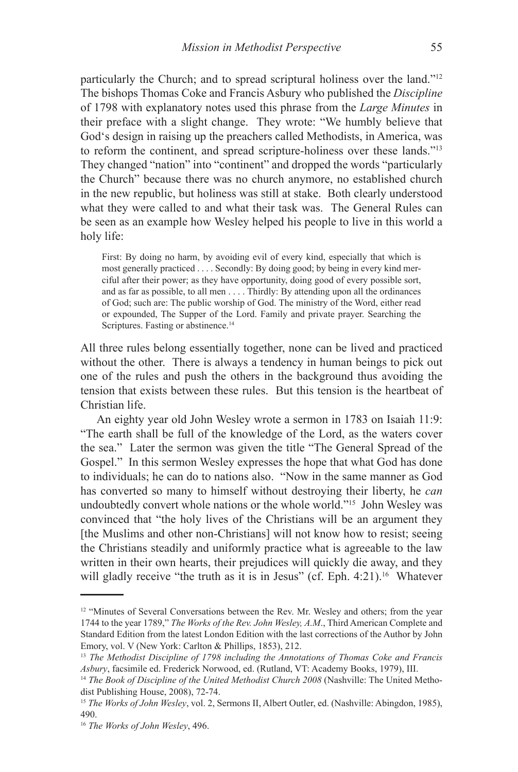particularly the Church; and to spread scriptural holiness over the land."<sup>12</sup> The bishops Thomas Coke and Francis Asbury who published the *Discipline* of 1798 with explanatory notes used this phrase from the *Large Minutes* in their preface with a slight change. They wrote: "We humbly believe that God's design in raising up the preachers called Methodists, in America, was to reform the continent, and spread scripture-holiness over these lands."13 They changed "nation" into "continent" and dropped the words "particularly the Church" because there was no church anymore, no established church in the new republic, but holiness was still at stake. Both clearly understood what they were called to and what their task was. The General Rules can be seen as an example how Wesley helped his people to live in this world a holy life:

First: By doing no harm, by avoiding evil of every kind, especially that which is most generally practiced . . . . Secondly: By doing good; by being in every kind merciful after their power; as they have opportunity, doing good of every possible sort, and as far as possible, to all men . . . . Thirdly: By attending upon all the ordinances of God; such are: The public worship of God. The ministry of the Word, either read or expounded, The Supper of the Lord. Family and private prayer. Searching the Scriptures. Fasting or abstinence.<sup>14</sup>

All three rules belong essentially together, none can be lived and practiced without the other. There is always a tendency in human beings to pick out one of the rules and push the others in the background thus avoiding the tension that exists between these rules. But this tension is the heartbeat of Christian life.

An eighty year old John Wesley wrote a sermon in 1783 on Isaiah 11:9: "The earth shall be full of the knowledge of the Lord, as the waters cover the sea." Later the sermon was given the title "The General Spread of the Gospel." In this sermon Wesley expresses the hope that what God has done to individuals; he can do to nations also. "Now in the same manner as God has converted so many to himself without destroying their liberty, he *can* undoubtedly convert whole nations or the whole world."15 John Wesley was convinced that "the holy lives of the Christians will be an argument they [the Muslims and other non-Christians] will not know how to resist; seeing the Christians steadily and uniformly practice what is agreeable to the law written in their own hearts, their prejudices will quickly die away, and they will gladly receive "the truth as it is in Jesus" (cf. Eph. 4:21).<sup>16</sup> Whatever

<sup>&</sup>lt;sup>12</sup> "Minutes of Several Conversations between the Rev. Mr. Wesley and others; from the year 1744 to the year 1789," *The Works of the Rev. John Wesley, A.M*., Third American Complete and Standard Edition from the latest London Edition with the last corrections of the Author by John Emory, vol. V (New York: Carlton & Phillips, 1853), 212.

<sup>13</sup> *The Methodist Discipline of 1798 including the Annotations of Thomas Coke and Francis Asbury*, facsimile ed. Frederick Norwood, ed. (Rutland, VT: Academy Books, 1979), III.

<sup>&</sup>lt;sup>14</sup> *The Book of Discipline of the United Methodist Church 2008* (Nashville: The United Methodist Publishing House, 2008), 72-74.

<sup>&</sup>lt;sup>15</sup> *The Works of John Wesley*, vol. 2, Sermons II, Albert Outler, ed. (Nashville: Abingdon, 1985), 490.

<sup>16</sup> *The Works of John Wesley*, 496.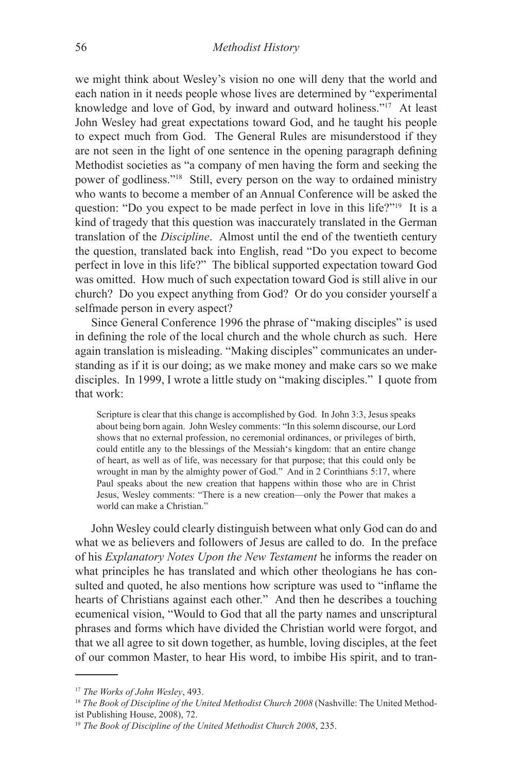we might think about Wesley's vision no one will deny that the world and each nation in it needs people whose lives are determined by "experimental knowledge and love of God, by inward and outward holiness."17 At least John Wesley had great expectations toward God, and he taught his people to expect much from God. The General Rules are misunderstood if they are not seen in the light of one sentence in the opening paragraph defining Methodist societies as "a company of men having the form and seeking the power of godliness."18 Still, every person on the way to ordained ministry who wants to become a member of an Annual Conference will be asked the question: "Do you expect to be made perfect in love in this life?"19 It is a kind of tragedy that this question was inaccurately translated in the German translation of the *Discipline*. Almost until the end of the twentieth century the question, translated back into English, read "Do you expect to become perfect in love in this life?" The biblical supported expectation toward God was omitted. How much of such expectation toward God is still alive in our church? Do you expect anything from God? Or do you consider yourself a selfmade person in every aspect?

Since General Conference 1996 the phrase of "making disciples" is used in defining the role of the local church and the whole church as such. Here again translation is misleading. "Making disciples" communicates an understanding as if it is our doing; as we make money and make cars so we make disciples. In 1999, I wrote a little study on "making disciples." I quote from that work:

Scripture is clear that this change is accomplished by God. In John 3:3, Jesus speaks about being born again. John Wesley comments: "In this solemn discourse, our Lord shows that no external profession, no ceremonial ordinances, or privileges of birth, could entitle any to the blessings of the Messiah's kingdom: that an entire change of heart, as well as of life, was necessary for that purpose; that this could only be wrought in man by the almighty power of God." And in 2 Corinthians 5:17, where Paul speaks about the new creation that happens within those who are in Christ Jesus, Wesley comments: "There is a new creation—only the Power that makes a world can make a Christian."

John Wesley could clearly distinguish between what only God can do and what we as believers and followers of Jesus are called to do. In the preface of his *Explanatory Notes Upon the New Testament* he informs the reader on what principles he has translated and which other theologians he has consulted and quoted, he also mentions how scripture was used to "inflame the hearts of Christians against each other." And then he describes a touching ecumenical vision, "Would to God that all the party names and unscriptural phrases and forms which have divided the Christian world were forgot, and that we all agree to sit down together, as humble, loving disciples, at the feet of our common Master, to hear His word, to imbibe His spirit, and to tran-

<sup>17</sup> *The Works of John Wesley*, 493.

<sup>&</sup>lt;sup>18</sup> *The Book of Discipline of the United Methodist Church 2008* (Nashville: The United Methodist Publishing House, 2008), 72.

<sup>19</sup> *The Book of Discipline of the United Methodist Church 2008*, 235.